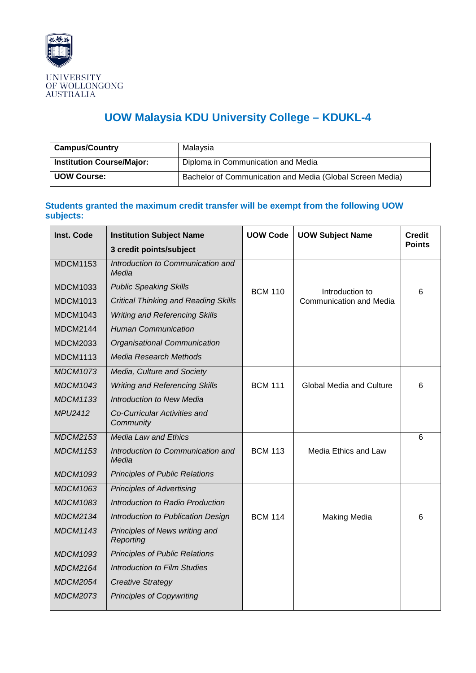

## **UOW Malaysia KDU University College – KDUKL-4**

| <b>Campus/Country</b>            | Malaysia                                                  |
|----------------------------------|-----------------------------------------------------------|
| <b>Institution Course/Major:</b> | Diploma in Communication and Media                        |
| <b>UOW Course:</b>               | Bachelor of Communication and Media (Global Screen Media) |

## **Students granted the maximum credit transfer will be exempt from the following UOW subjects:**

| <b>Inst. Code</b> | <b>Institution Subject Name</b>             | <b>UOW Code</b> | <b>UOW Subject Name</b>         | <b>Credit</b> |
|-------------------|---------------------------------------------|-----------------|---------------------------------|---------------|
|                   | 3 credit points/subject                     |                 |                                 | <b>Points</b> |
| <b>MDCM1153</b>   | Introduction to Communication and<br>Media  |                 |                                 |               |
| <b>MDCM1033</b>   | <b>Public Speaking Skills</b>               | <b>BCM 110</b>  | Introduction to                 | 6             |
| <b>MDCM1013</b>   | <b>Critical Thinking and Reading Skills</b> |                 | <b>Communication and Media</b>  |               |
| <b>MDCM1043</b>   | <b>Writing and Referencing Skills</b>       |                 |                                 |               |
| <b>MDCM2144</b>   | <b>Human Communication</b>                  |                 |                                 |               |
| <b>MDCM2033</b>   | Organisational Communication                |                 |                                 |               |
| <b>MDCM1113</b>   | <b>Media Research Methods</b>               |                 |                                 |               |
| <b>MDCM1073</b>   | Media, Culture and Society                  |                 |                                 |               |
| <b>MDCM1043</b>   | <b>Writing and Referencing Skills</b>       | <b>BCM 111</b>  | <b>Global Media and Culture</b> | 6             |
| <b>MDCM1133</b>   | <b>Introduction to New Media</b>            |                 |                                 |               |
| MPU2412           | Co-Curricular Activities and<br>Community   |                 |                                 |               |
| <b>MDCM2153</b>   | <b>Media Law and Ethics</b>                 |                 |                                 | 6             |
| <b>MDCM1153</b>   | Introduction to Communication and<br>Media  | <b>BCM 113</b>  | Media Ethics and Law            |               |
| <b>MDCM1093</b>   | <b>Principles of Public Relations</b>       |                 |                                 |               |
| <b>MDCM1063</b>   | <b>Principles of Advertising</b>            |                 |                                 |               |
| <b>MDCM1083</b>   | Introduction to Radio Production            |                 |                                 |               |
| <b>MDCM2134</b>   | Introduction to Publication Design          | <b>BCM 114</b>  | <b>Making Media</b>             | 6             |
| <b>MDCM1143</b>   | Principles of News writing and<br>Reporting |                 |                                 |               |
| <b>MDCM1093</b>   | <b>Principles of Public Relations</b>       |                 |                                 |               |
| <b>MDCM2164</b>   | <b>Introduction to Film Studies</b>         |                 |                                 |               |
| <b>MDCM2054</b>   | <b>Creative Strategy</b>                    |                 |                                 |               |
| <b>MDCM2073</b>   | <b>Principles of Copywriting</b>            |                 |                                 |               |